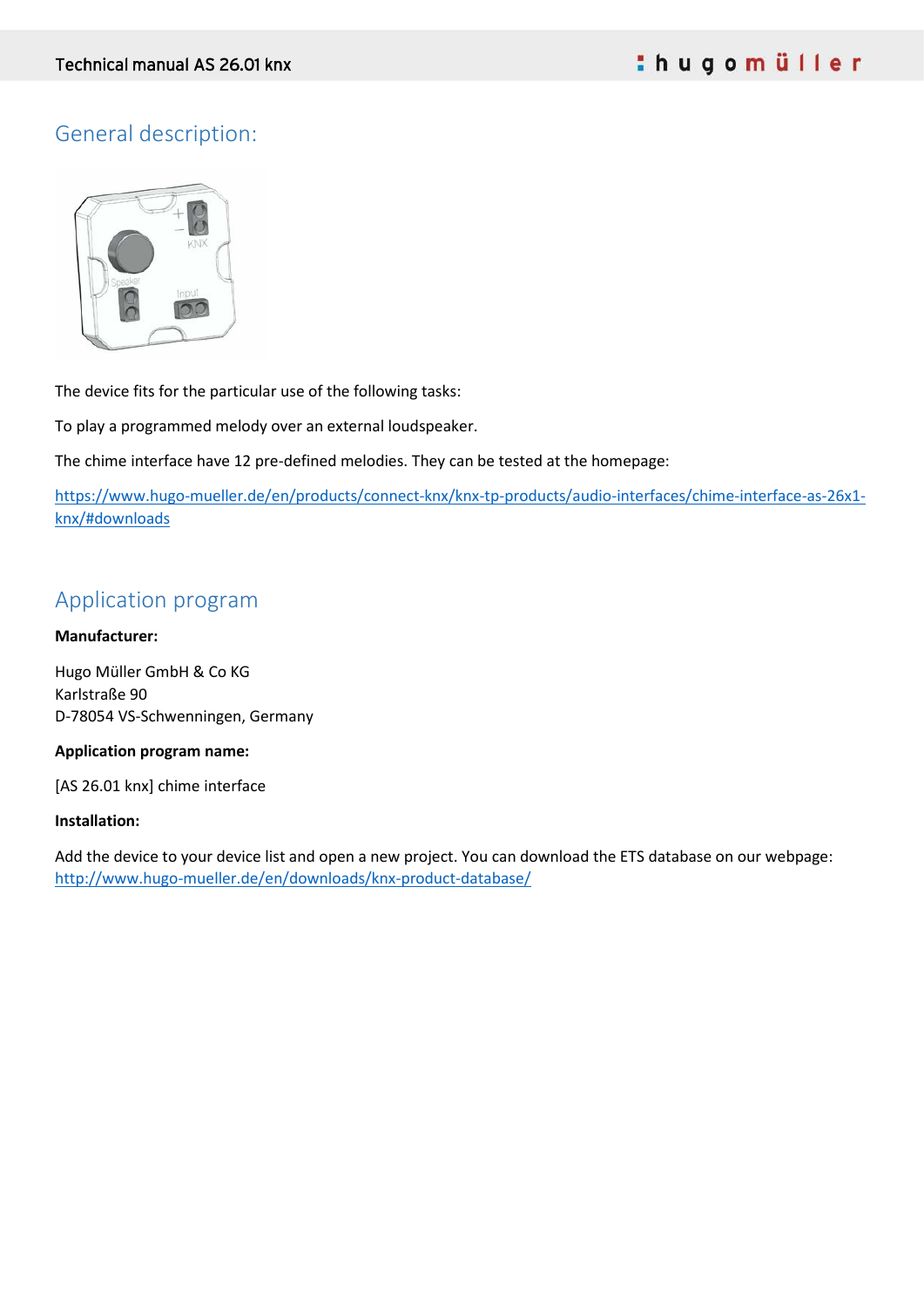# General description:



The device fits for the particular use of the following tasks:

To play a programmed melody over an external loudspeaker.

The chime interface have 12 pre-defined melodies. They can be tested at the homepage:

[https://www.hugo-mueller.de/en/products/connect-knx/knx-tp-products/audio-interfaces/chime-interface-as-26x1](https://www.hugo-mueller.de/en/products/connect-knx/knx-tp-products/audio-interfaces/chime-interface-as-26x1-knx/#downloads) [knx/#downloads](https://www.hugo-mueller.de/en/products/connect-knx/knx-tp-products/audio-interfaces/chime-interface-as-26x1-knx/#downloads)

# Application program

#### **Manufacturer:**

Hugo Müller GmbH & Co KG Karlstraße 90 D-78054 VS-Schwenningen, Germany

#### **Application program name:**

[AS 26.01 knx] chime interface

#### **Installation:**

Add the device to your device list and open a new project. You can download the ETS database on our webpage: <http://www.hugo-mueller.de/en/downloads/knx-product-database/>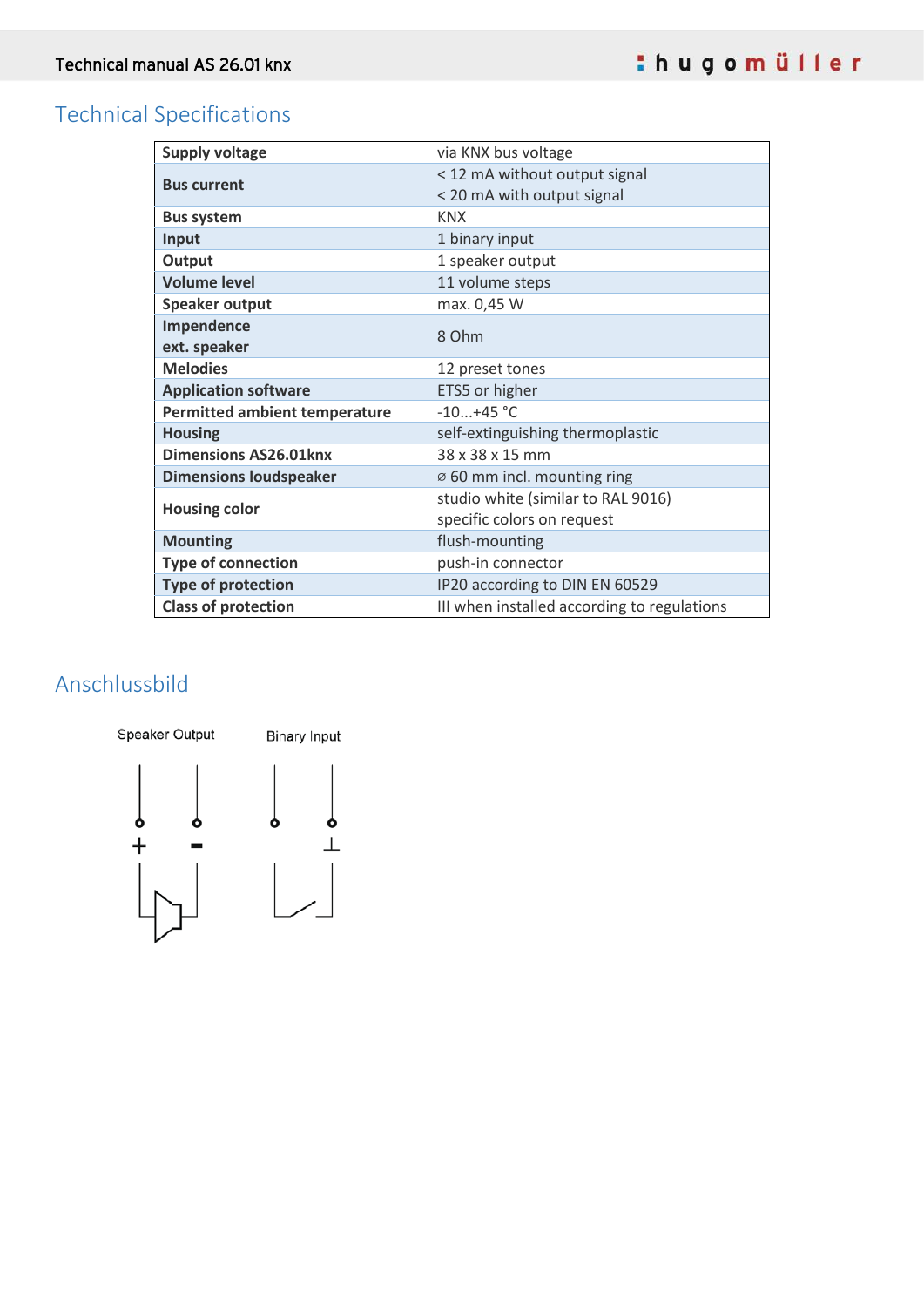# Technical Specifications

| <b>Supply voltage</b>                | via KNX bus voltage                         |  |
|--------------------------------------|---------------------------------------------|--|
|                                      | < 12 mA without output signal               |  |
| <b>Bus current</b>                   | < 20 mA with output signal                  |  |
| <b>Bus system</b>                    | <b>KNX</b>                                  |  |
| Input                                | 1 binary input                              |  |
| Output                               | 1 speaker output                            |  |
| <b>Volume level</b>                  | 11 volume steps                             |  |
| <b>Speaker output</b>                | max. 0,45 W                                 |  |
| Impendence                           | 8 Ohm                                       |  |
| ext. speaker                         |                                             |  |
| <b>Melodies</b>                      | 12 preset tones                             |  |
| <b>Application software</b>          | ETS5 or higher                              |  |
| <b>Permitted ambient temperature</b> | $-10+45$ °C                                 |  |
| <b>Housing</b>                       | self-extinguishing thermoplastic            |  |
| <b>Dimensions AS26.01knx</b>         | 38 x 38 x 15 mm                             |  |
| <b>Dimensions loudspeaker</b>        | Ø 60 mm incl. mounting ring                 |  |
| <b>Housing color</b>                 | studio white (similar to RAL 9016)          |  |
|                                      | specific colors on request                  |  |
| <b>Mounting</b>                      | flush-mounting                              |  |
| <b>Type of connection</b>            | push-in connector                           |  |
| <b>Type of protection</b>            | IP20 according to DIN EN 60529              |  |
| <b>Class of protection</b>           | III when installed according to regulations |  |

# Anschlussbild

Speaker Output **Binary Input**  $\begin{bmatrix} & & & \\ & & \circ & & \\ & & & \downarrow & \\ & & & \downarrow & \\ & & & & \downarrow \end{bmatrix}$ ሌ<br>ተ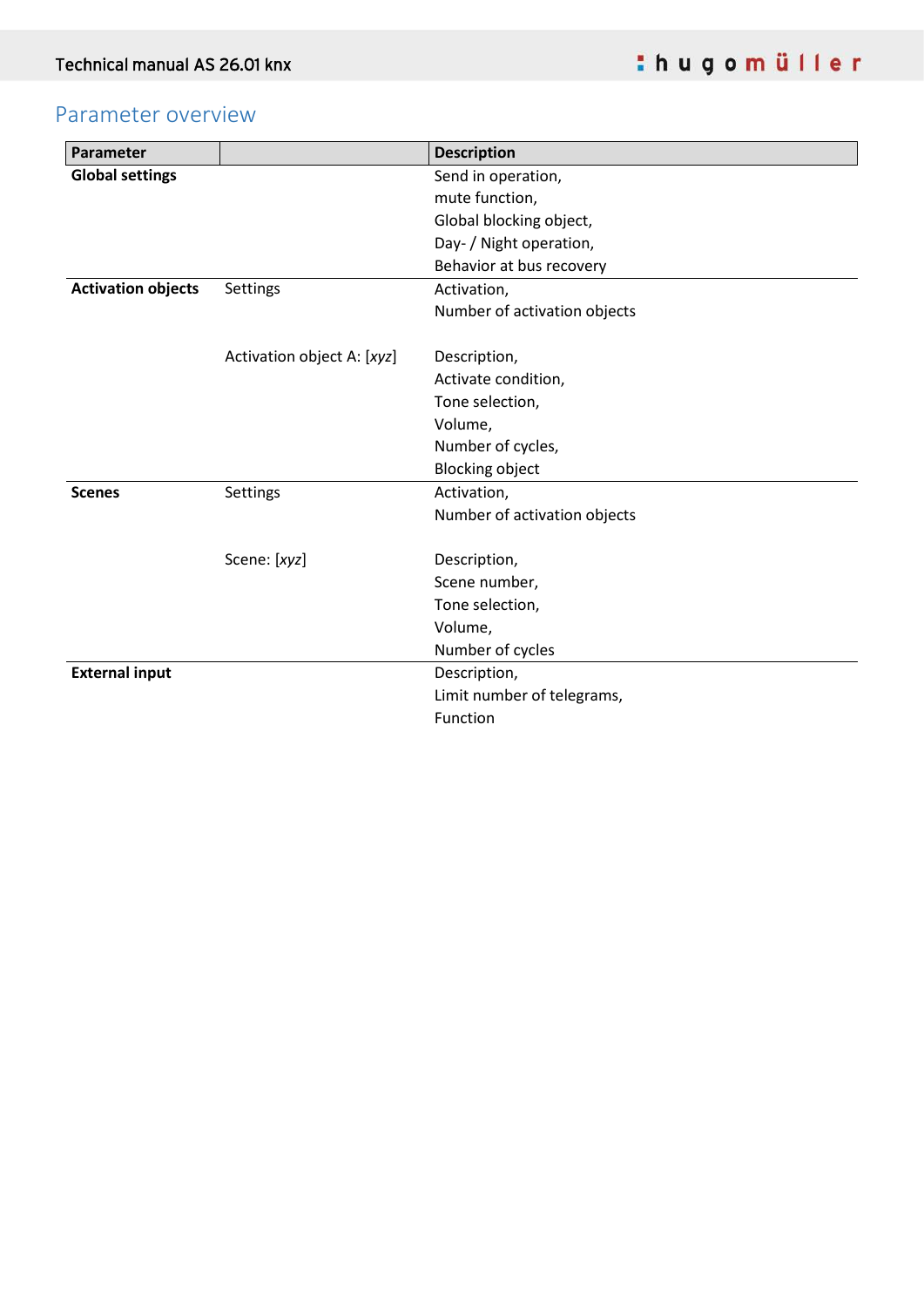# Parameter overview

| Parameter                 |                            | <b>Description</b>           |
|---------------------------|----------------------------|------------------------------|
| <b>Global settings</b>    |                            | Send in operation,           |
|                           |                            | mute function,               |
|                           |                            | Global blocking object,      |
|                           |                            | Day- / Night operation,      |
|                           |                            | Behavior at bus recovery     |
| <b>Activation objects</b> | Settings                   | Activation,                  |
|                           |                            | Number of activation objects |
|                           | Activation object A: [xyz] | Description,                 |
|                           |                            | Activate condition,          |
|                           |                            | Tone selection,              |
|                           |                            | Volume,                      |
|                           |                            | Number of cycles,            |
|                           |                            | <b>Blocking object</b>       |
| <b>Scenes</b>             | Settings                   | Activation,                  |
|                           |                            | Number of activation objects |
|                           | Scene: [xyz]               | Description,                 |
|                           |                            | Scene number,                |
|                           |                            | Tone selection,              |
|                           |                            | Volume,                      |
|                           |                            | Number of cycles             |
| <b>External input</b>     |                            | Description,                 |
|                           |                            | Limit number of telegrams,   |
|                           |                            | Function                     |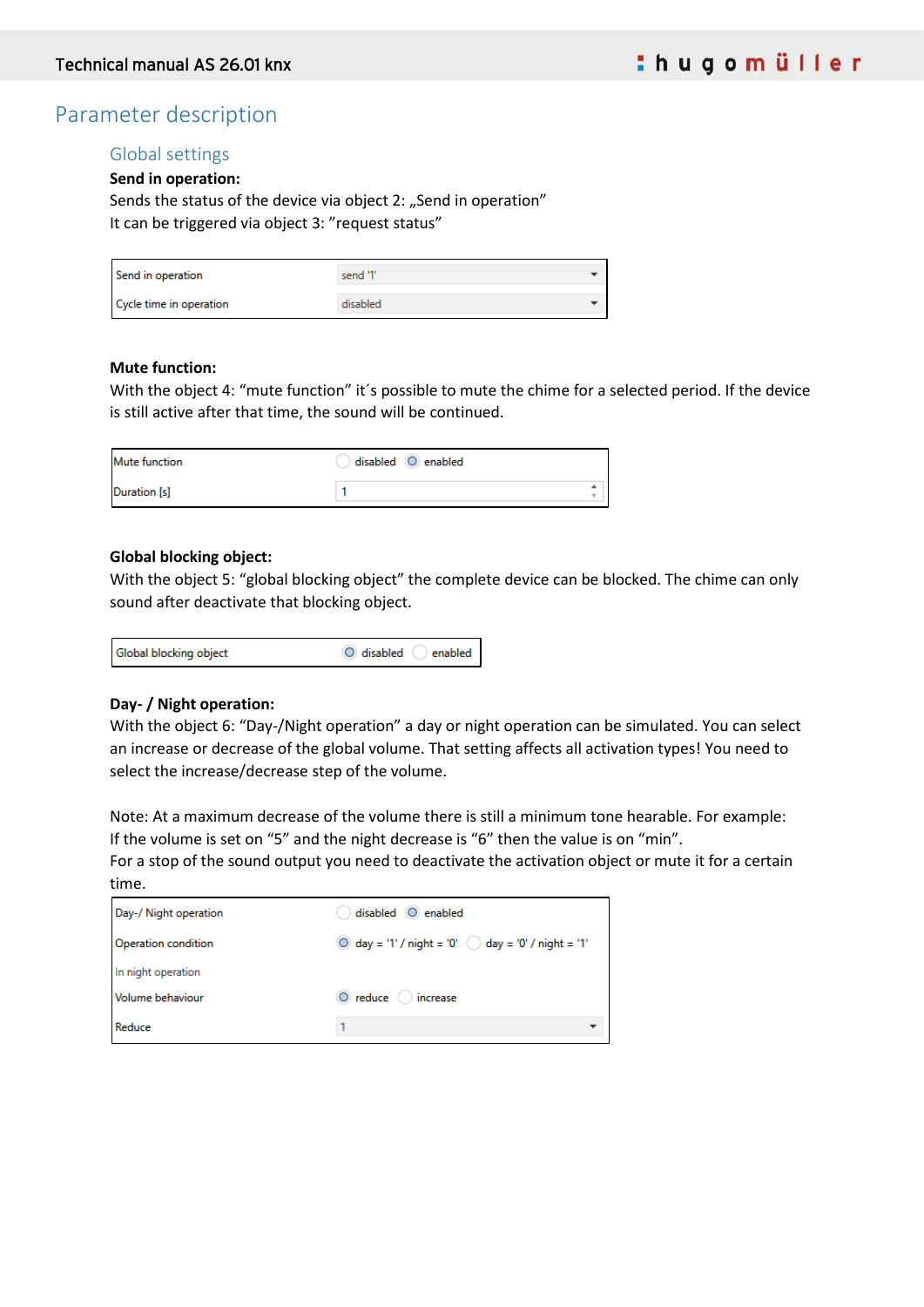# Parameter description

## Global settings

**Send in operation:**

Sends the status of the device via object 2: "Send in operation" It can be triggered via object 3: "request status"

| Send in operation       | send '1' |  |
|-------------------------|----------|--|
| Cycle time in operation | disabled |  |

#### **Mute function:**

With the object 4: "mute function" it's possible to mute the chime for a selected period. If the device is still active after that time, the sound will be continued.

| <b>Mute function</b> | disabled O enabled |        |
|----------------------|--------------------|--------|
| Duration [s]         |                    | ۰<br>÷ |

#### **Global blocking object:**

With the object 5: "global blocking object" the complete device can be blocked. The chime can only sound after deactivate that blocking object.

| Global blocking object | O disabled<br>enabled |
|------------------------|-----------------------|
|------------------------|-----------------------|

### **Day- / Night operation:**

With the object 6: "Day-/Night operation" a day or night operation can be simulated. You can select an increase or decrease of the global volume. That setting affects all activation types! You need to select the increase/decrease step of the volume.

Note: At a maximum decrease of the volume there is still a minimum tone hearable. For example: If the volume is set on "5" and the night decrease is "6" then the value is on "min".

For a stop of the sound output you need to deactivate the activation object or mute it for a certain time.

| Day-/ Night operation | disabled O enabled                                           |
|-----------------------|--------------------------------------------------------------|
| Operation condition   | O day = '1' / night = '0' $\bigcirc$ day = '0' / night = '1' |
| In night operation    |                                                              |
| Volume behaviour      | O reduce increase                                            |
| Reduce                |                                                              |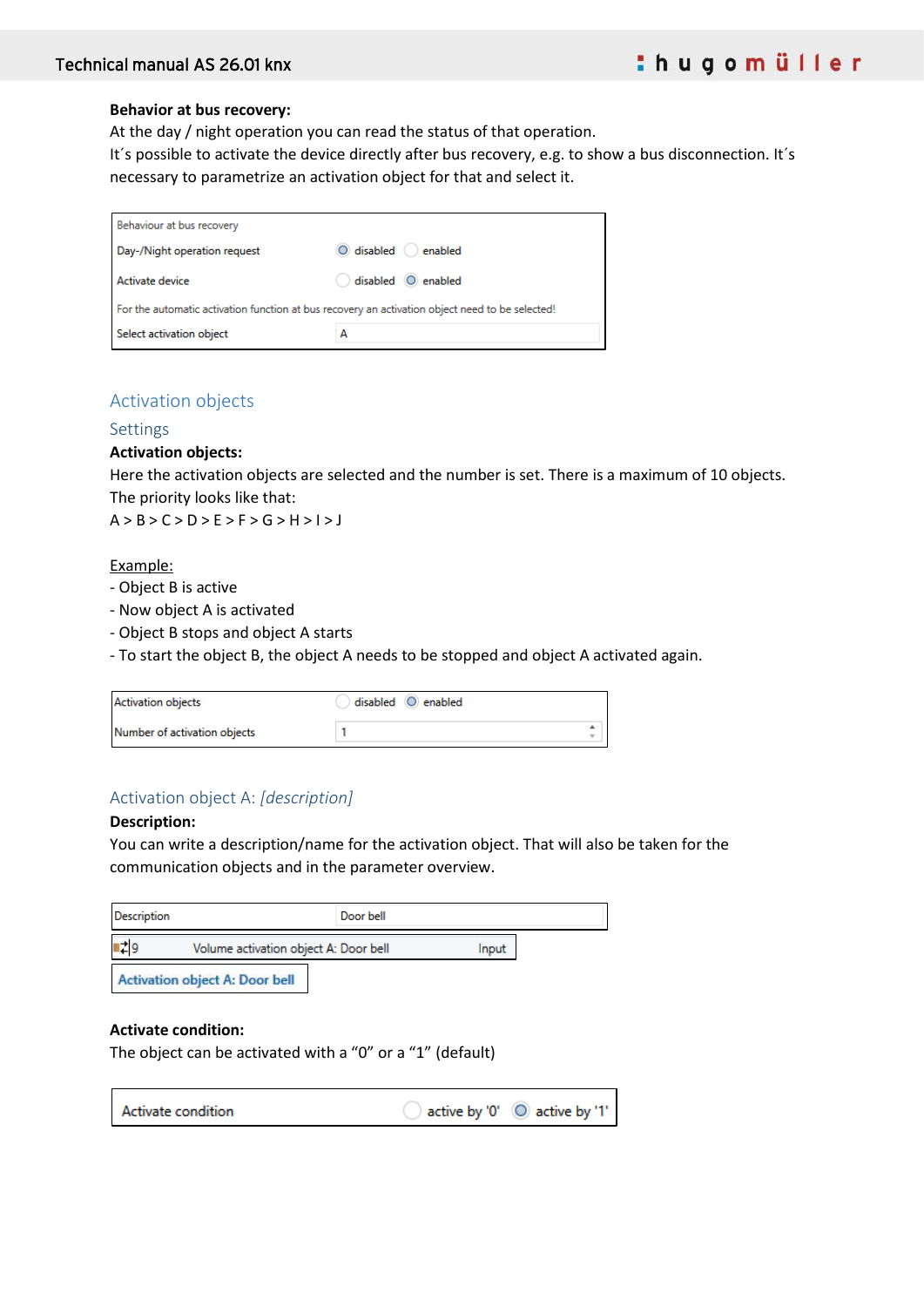#### **Behavior at bus recovery:**

At the day / night operation you can read the status of that operation.

It's possible to activate the device directly after bus recovery, e.g. to show a bus disconnection. It's necessary to parametrize an activation object for that and select it.

| Behaviour at bus recovery                                                                       |                    |  |  |
|-------------------------------------------------------------------------------------------------|--------------------|--|--|
| Day-/Night operation request                                                                    | O disabled anabled |  |  |
| Activate device                                                                                 | disabled O enabled |  |  |
| For the automatic activation function at bus recovery an activation object need to be selected! |                    |  |  |
| Select activation object                                                                        | А                  |  |  |

### Activation objects

#### Settings

#### **Activation objects:**

Here the activation objects are selected and the number is set. There is a maximum of 10 objects. The priority looks like that:

A > B > C > D > E > F > G > H > I > J

Example:

- Object B is active
- Now object A is activated
- Object B stops and object A starts
- To start the object B, the object A needs to be stopped and object A activated again.

| <b>Activation objects</b>    | disabled O enabled |                               |
|------------------------------|--------------------|-------------------------------|
| Number of activation objects |                    | ÷<br>$\overline{\phantom{a}}$ |

## Activation object A: *[description]*

#### **Description:**

You can write a description/name for the activation object. That will also be taken for the communication objects and in the parameter overview.

٦

| <b>Description</b> | Door bell                             |       |
|--------------------|---------------------------------------|-------|
|                    | Volume activation object A: Door bell | Input |
|                    | <b>Activation object A: Door bell</b> |       |

### **Activate condition:**

 $\Gamma$ 

The object can be activated with a "0" or a "1" (default)

| Activate condition |  | $\,$ active by '0' $\,$ $\,$ $\,$ $\,$ active by '1' $\,$ $\,$ |
|--------------------|--|----------------------------------------------------------------|
|--------------------|--|----------------------------------------------------------------|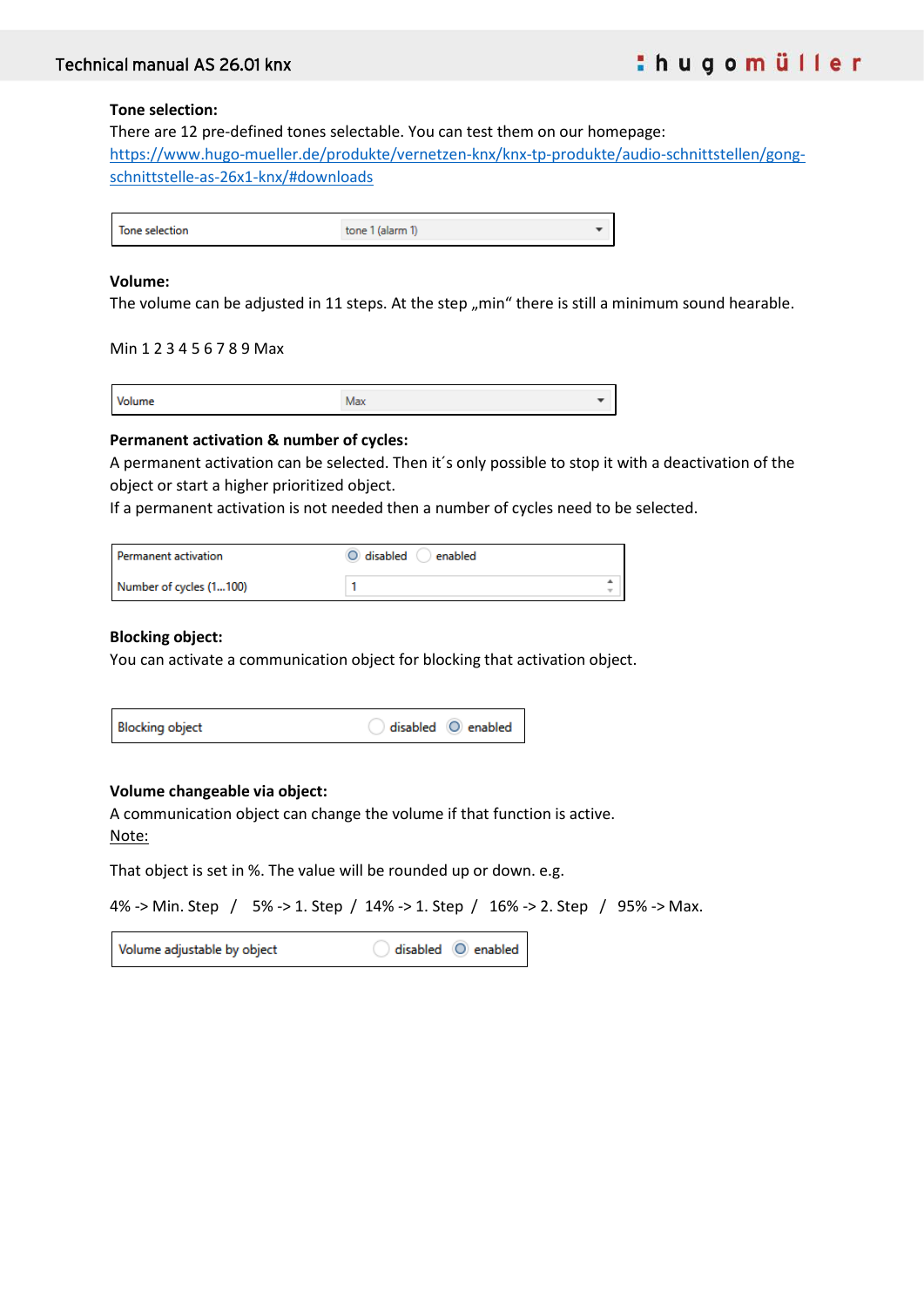#### **Tone selection:**

There are 12 pre-defined tones selectable. You can test them on our homepage: [https://www.hugo-mueller.de/produkte/vernetzen-knx/knx-tp-produkte/audio-schnittstellen/gong](https://www.hugo-mueller.de/produkte/vernetzen-knx/knx-tp-produkte/audio-schnittstellen/gong-schnittstelle-as-26x1-knx/#downloads)[schnittstelle-as-26x1-knx/#downloads](https://www.hugo-mueller.de/produkte/vernetzen-knx/knx-tp-produkte/audio-schnittstellen/gong-schnittstelle-as-26x1-knx/#downloads)

| Tone selection | alarm |  |
|----------------|-------|--|

#### **Volume:**

The volume can be adjusted in 11 steps. At the step  $<sub>n</sub>min"$  there is still a minimum sound hearable.</sub>

Min 1 2 3 4 5 6 7 8 9 Max

| в |  |
|---|--|
|   |  |

#### **Permanent activation & number of cycles:**

A permanent activation can be selected. Then it´s only possible to stop it with a deactivation of the object or start a higher prioritized object.

If a permanent activation is not needed then a number of cycles need to be selected.

| Permanent activation    | O disabled O enabled |                    |
|-------------------------|----------------------|--------------------|
| Number of cycles (1100) |                      | ዹ<br>$\rightarrow$ |

#### **Blocking object:**

You can activate a communication object for blocking that activation object.

| <b>Blocking object</b> | $\big)$ disabled $\bigcirc$ enabled |
|------------------------|-------------------------------------|
|------------------------|-------------------------------------|

#### **Volume changeable via object:**

A communication object can change the volume if that function is active. Note:

That object is set in %. The value will be rounded up or down. e.g.

4% -> Min. Step / 5% -> 1. Step / 14% -> 1. Step / 16% -> 2. Step / 95% -> Max.

Volume adjustable by object disabled  $\circ$  enabled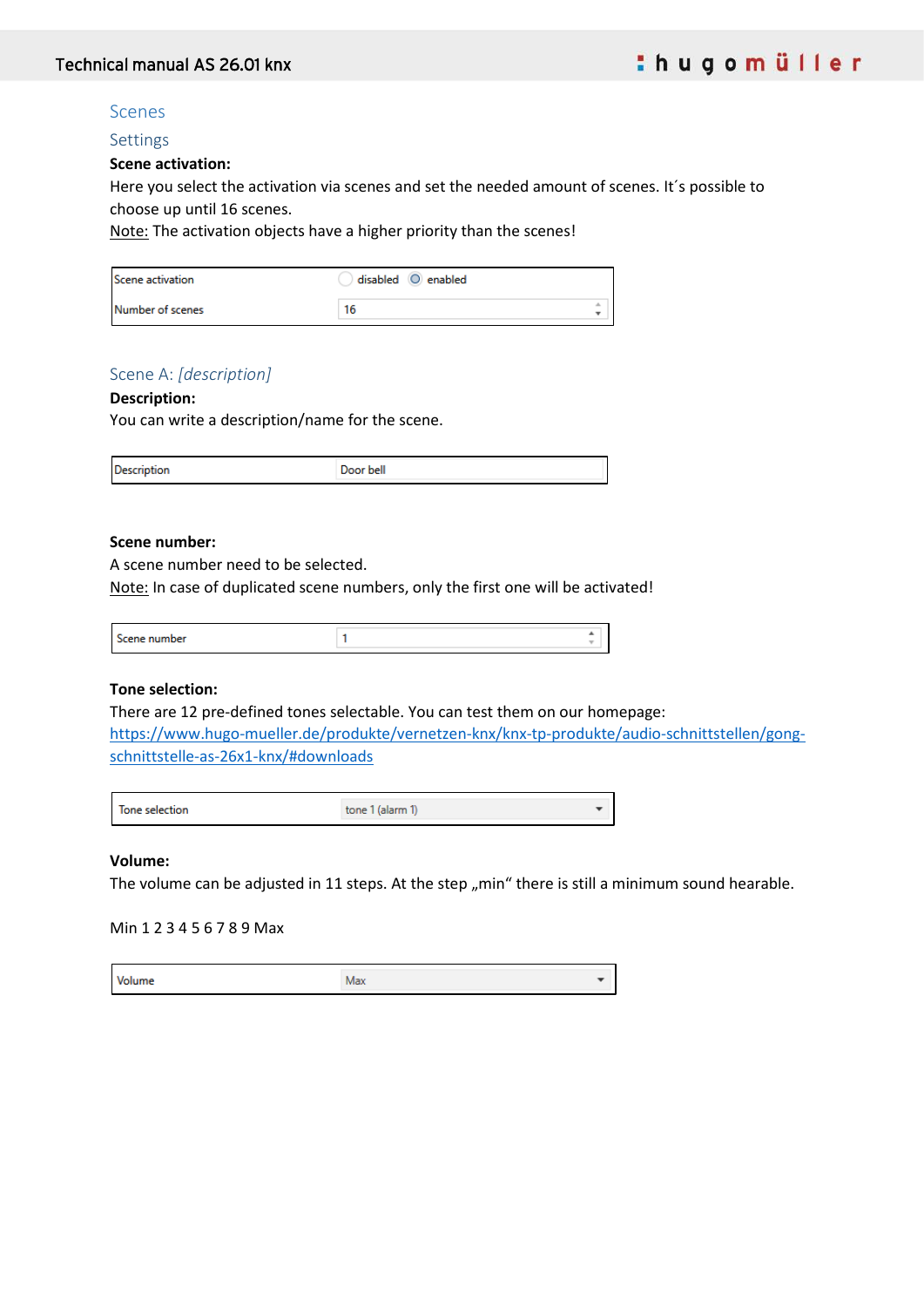## Scenes

Settings

#### **Scene activation:**

Here you select the activation via scenes and set the needed amount of scenes. It´s possible to choose up until 16 scenes.

Note: The activation objects have a higher priority than the scenes!

| Scene activation | disabled O enabled |  |
|------------------|--------------------|--|
| Number of scenes |                    |  |

## Scene A: *[description]*

#### **Description:**

You can write a description/name for the scene.

| <b>Description</b> | Door bell |
|--------------------|-----------|
|                    |           |

#### **Scene number:**

A scene number need to be selected.

Note: In case of duplicated scene numbers, only the first one will be activated!

| <b>WELLING</b><br>her | - |
|-----------------------|---|
|                       | ۰ |
|                       |   |
|                       |   |

### **Tone selection:**

There are 12 pre-defined tones selectable. You can test them on our homepage:

[https://www.hugo-mueller.de/produkte/vernetzen-knx/knx-tp-produkte/audio-schnittstellen/gong](https://www.hugo-mueller.de/produkte/vernetzen-knx/knx-tp-produkte/audio-schnittstellen/gong-schnittstelle-as-26x1-knx/#downloads)[schnittstelle-as-26x1-knx/#downloads](https://www.hugo-mueller.de/produkte/vernetzen-knx/knx-tp-produkte/audio-schnittstellen/gong-schnittstelle-as-26x1-knx/#downloads)

| tone 1 (alarm 1) |
|------------------|
|                  |

### **Volume:**

The volume can be adjusted in 11 steps. At the step  $<sub>m</sub>$ min" there is still a minimum sound hearable.</sub>

#### Min 1 2 3 4 5 6 7 8 9 Max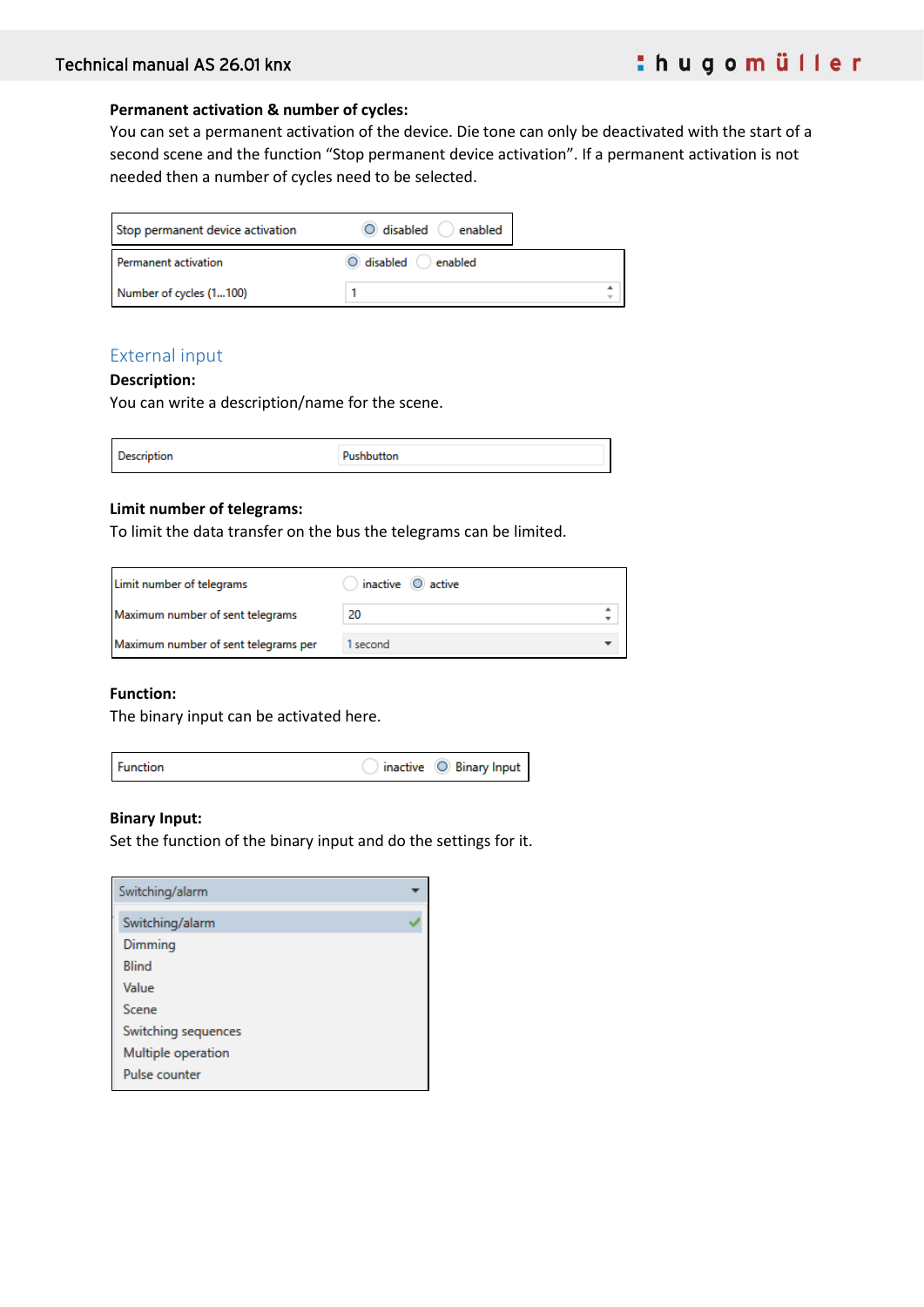#### **Permanent activation & number of cycles:**

You can set a permanent activation of the device. Die tone can only be deactivated with the start of a second scene and the function "Stop permanent device activation". If a permanent activation is not needed then a number of cycles need to be selected.

| Stop permanent device activation | O disabled anabled   |  |
|----------------------------------|----------------------|--|
| Permanent activation             | O disabled O enabled |  |
| Number of cycles (1100)          |                      |  |

## External input

#### **Description:**

You can write a description/name for the scene.

| <b>Description</b> | Pushbutton |  |
|--------------------|------------|--|
|                    |            |  |

#### **Limit number of telegrams:**

To limit the data transfer on the bus the telegrams can be limited.

| Limit number of telegrams            | inactive $\bigcirc$ active |  |
|--------------------------------------|----------------------------|--|
| Maximum number of sent telegrams     | 20                         |  |
| Maximum number of sent telegrams per | second                     |  |

#### **Function:**

The binary input can be activated here.



#### **Binary Input:**

Set the function of the binary input and do the settings for it.

| Switching/alarm     |  |
|---------------------|--|
| Switching/alarm     |  |
| Dimming             |  |
| <b>Blind</b>        |  |
| Value               |  |
| Scene               |  |
| Switching sequences |  |
| Multiple operation  |  |
| Pulse counter       |  |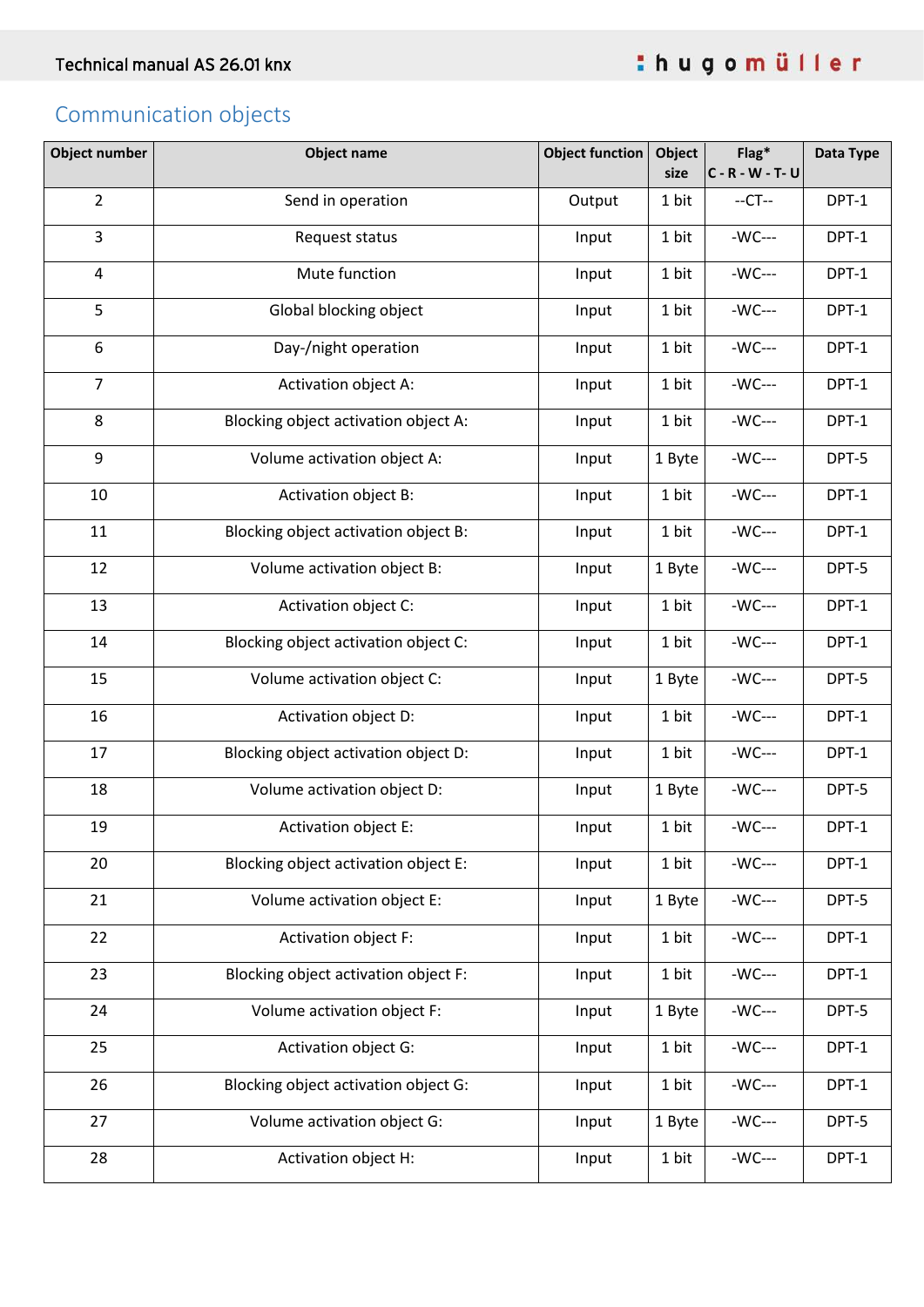# Communication objects

| <b>Object number</b> | <b>Object name</b>                   | <b>Object function</b> | Object<br>size | $Flag*$<br>$C - R - W - T - U$ | Data Type |
|----------------------|--------------------------------------|------------------------|----------------|--------------------------------|-----------|
| $\overline{2}$       | Send in operation                    | Output                 | 1 bit          | $-CT-$                         | DPT-1     |
| 3                    | Request status                       | Input                  | 1 bit          | $-WC---$                       | DPT-1     |
| $\overline{a}$       | Mute function                        | Input                  | 1 bit          | $-WC---$                       | DPT-1     |
| 5                    | Global blocking object               | Input                  | 1 bit          | $-WC---$                       | DPT-1     |
| 6                    | Day-/night operation                 | Input                  | 1 bit          | $-WC---$                       | DPT-1     |
| $\overline{7}$       | Activation object A:                 | Input                  | 1 bit          | -WC---                         | DPT-1     |
| 8                    | Blocking object activation object A: | Input                  | 1 bit          | -WC---                         | DPT-1     |
| 9                    | Volume activation object A:          | Input                  | 1 Byte         | -WC---                         | DPT-5     |
| 10                   | Activation object B:                 | Input                  | 1 bit          | -WC---                         | DPT-1     |
| 11                   | Blocking object activation object B: | Input                  | 1 bit          | -WC---                         | DPT-1     |
| 12                   | Volume activation object B:          | Input                  | 1 Byte         | -WC---                         | DPT-5     |
| 13                   | Activation object C:                 | Input                  | 1 bit          | -WC---                         | DPT-1     |
| 14                   | Blocking object activation object C: | Input                  | 1 bit          | $-WC---$                       | DPT-1     |
| 15                   | Volume activation object C:          | Input                  | 1 Byte         | $-WC---$                       | DPT-5     |
| 16                   | Activation object D:                 | Input                  | 1 bit          | $-WC---$                       | DPT-1     |
| 17                   | Blocking object activation object D: | Input                  | 1 bit          | $-WC---$                       | DPT-1     |
| 18                   | Volume activation object D:          | Input                  | 1 Byte         | $-WC---$                       | DPT-5     |
| 19                   | Activation object E:                 | Input                  | 1 bit          | $-WC---$                       | DPT-1     |
| 20                   | Blocking object activation object E: | Input                  | 1 bit          | -WC---                         | DPT-1     |
| 21                   | Volume activation object E:          | Input                  | 1 Byte         | -WC---                         | DPT-5     |
| 22                   | Activation object F:                 | Input                  | 1 bit          | -WC---                         | DPT-1     |
| 23                   | Blocking object activation object F: | Input                  | 1 bit          | -WC---                         | DPT-1     |
| 24                   | Volume activation object F:          | Input                  | 1 Byte         | -WC---                         | DPT-5     |
| 25                   | Activation object G:                 | Input                  | 1 bit          | $-WC---$                       | DPT-1     |
| 26                   | Blocking object activation object G: | Input                  | 1 bit          | -WC---                         | DPT-1     |
| 27                   | Volume activation object G:          | Input                  | 1 Byte         | -WC---                         | DPT-5     |
| 28                   | Activation object H:                 | Input                  | 1 bit          | -WC---                         | DPT-1     |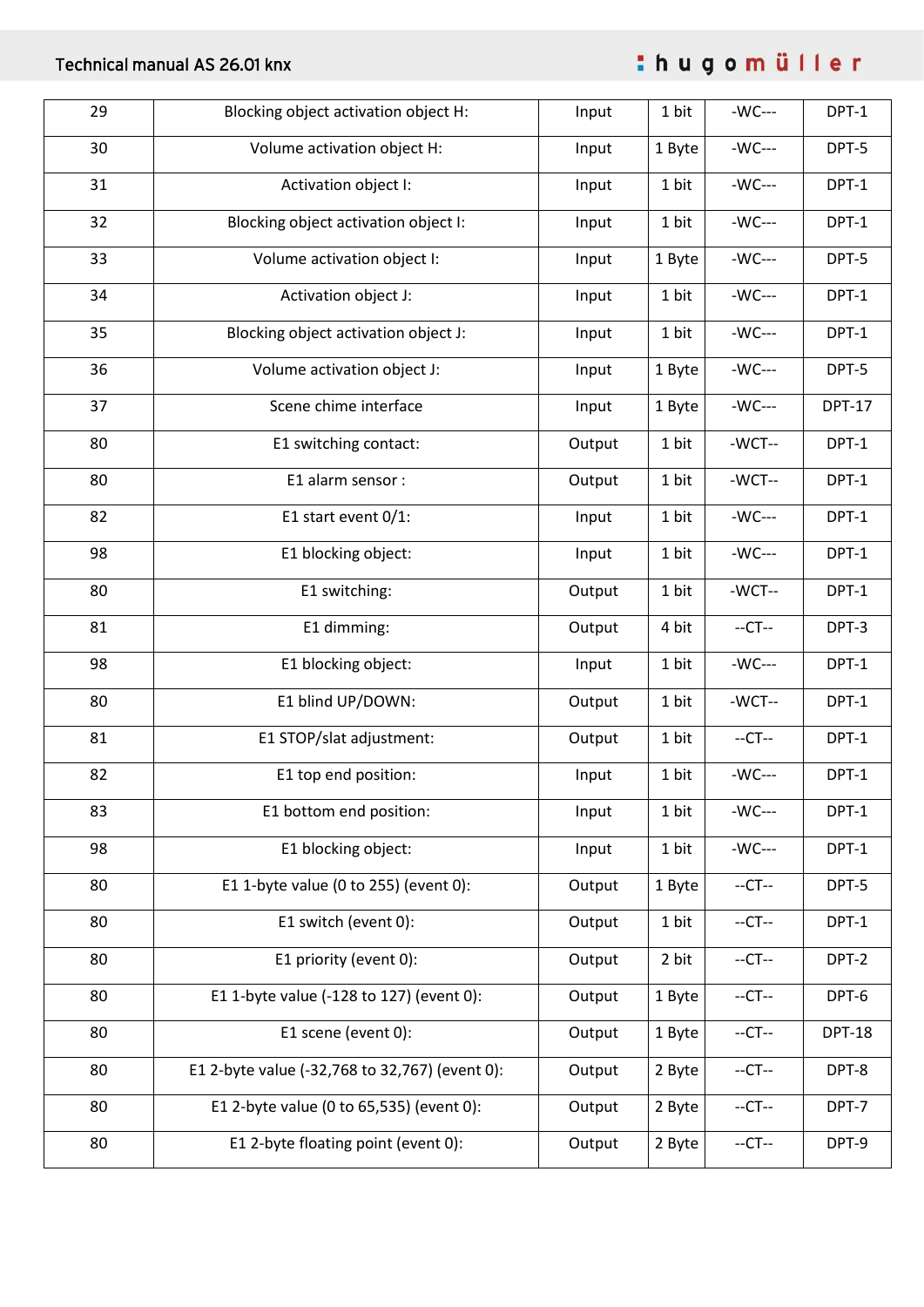# Technical manual AS 26.01 knx

thugomüller

| 29 | Blocking object activation object H:           | Input           | 1 bit  | -WC---   | DPT-1         |
|----|------------------------------------------------|-----------------|--------|----------|---------------|
| 30 | Volume activation object H:                    | 1 Byte<br>Input |        | -WC---   | DPT-5         |
| 31 | Activation object I:                           | Input           | 1 bit  | -WC---   | DPT-1         |
| 32 | Blocking object activation object I:           | Input           | 1 bit  | -WC---   | DPT-1         |
| 33 | Volume activation object I:                    | Input           | 1 Byte | -WC---   | DPT-5         |
| 34 | Activation object J:                           | Input           | 1 bit  | -WC---   | DPT-1         |
| 35 | Blocking object activation object J:           | Input           | 1 bit  | -WC---   | DPT-1         |
| 36 | Volume activation object J:                    | Input           | 1 Byte | -WC---   | DPT-5         |
| 37 | Scene chime interface                          | Input           | 1 Byte | -WC---   | <b>DPT-17</b> |
| 80 | E1 switching contact:                          | Output          | 1 bit  | -WCT--   | DPT-1         |
| 80 | E1 alarm sensor :                              | Output          | 1 bit  | -WCT--   | DPT-1         |
| 82 | E1 start event 0/1:                            | Input           | 1 bit  | -WC---   | DPT-1         |
| 98 | E1 blocking object:                            | Input           | 1 bit  | -WC---   | DPT-1         |
| 80 | E1 switching:                                  | Output          | 1 bit  | -WCT--   | DPT-1         |
| 81 | E1 dimming:                                    | Output          | 4 bit  | $-CT-$   | DPT-3         |
| 98 | E1 blocking object:                            | Input           | 1 bit  | -WC---   | DPT-1         |
| 80 | E1 blind UP/DOWN:                              | Output          | 1 bit  | -WCT--   | DPT-1         |
| 81 | E1 STOP/slat adjustment:                       | Output          | 1 bit  | $-CT-$   | DPT-1         |
| 82 | E1 top end position:                           | Input           | 1 bit  | -WC---   | DPT-1         |
| 83 | E1 bottom end position:                        | Input           | 1 bit  | -WC---   | DPT-1         |
| 98 | E1 blocking object:                            | Input           | 1 bit  | $-WC---$ | DPT-1         |
| 80 | E1 1-byte value (0 to 255) (event 0):          | Output          | 1 Byte | $-CT-$   | DPT-5         |
| 80 | E1 switch (event 0):                           | Output          | 1 bit  | $-CT-$   | DPT-1         |
| 80 | E1 priority (event 0):                         | Output          | 2 bit  | $-CT-$   | DPT-2         |
| 80 | E1 1-byte value (-128 to 127) (event 0):       | Output          | 1 Byte | $-CT-$   | DPT-6         |
| 80 | E1 scene (event 0):                            | Output          | 1 Byte | $-CT-$   | <b>DPT-18</b> |
| 80 | E1 2-byte value (-32,768 to 32,767) (event 0): | Output          | 2 Byte | $-CT-$   | DPT-8         |
| 80 | E1 2-byte value (0 to 65,535) (event 0):       | Output          | 2 Byte | $-CT-$   | DPT-7         |
| 80 | E1 2-byte floating point (event 0):            | Output          | 2 Byte | $-CT-$   | DPT-9         |
|    |                                                |                 |        |          |               |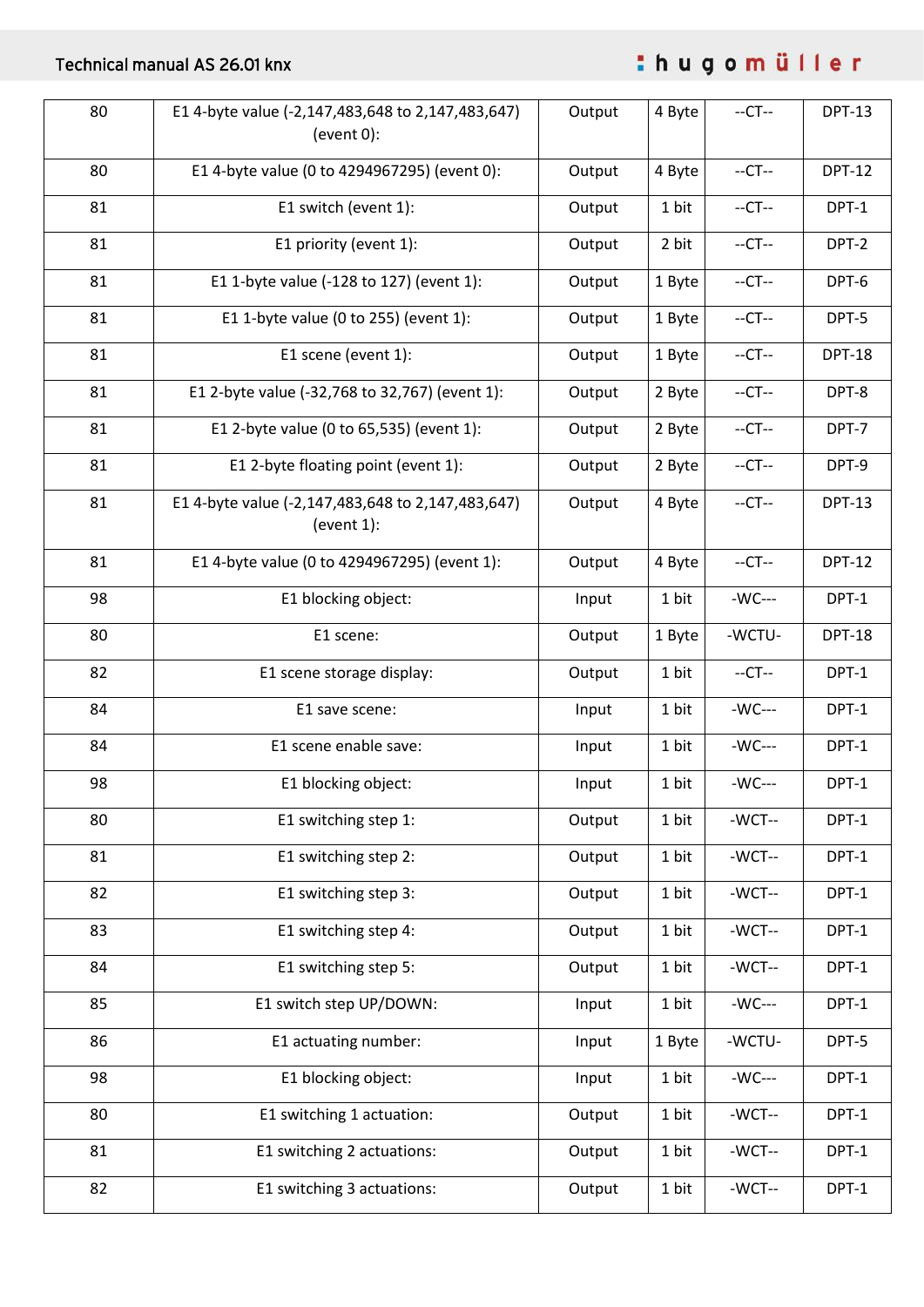# Technical manual AS 26.01 knx

thugomüller

| 80 | E1 4-byte value (-2,147,483,648 to 2,147,483,647)<br>$(event 0)$ : | Output | 4 Byte           | $-CT-$   | <b>DPT-13</b> |
|----|--------------------------------------------------------------------|--------|------------------|----------|---------------|
| 80 | E1 4-byte value (0 to 4294967295) (event 0):                       | Output | 4 Byte           | $-CT-$   | <b>DPT-12</b> |
| 81 | E1 switch (event 1):                                               | Output | 1 bit            | $-CT-$   | DPT-1         |
| 81 | E1 priority (event 1):                                             | Output | 2 bit            | $-CT-$   | DPT-2         |
| 81 | E1 1-byte value (-128 to 127) (event 1):                           | Output | 1 Byte           | $-CT-$   | DPT-6         |
| 81 | E1 1-byte value (0 to 255) (event 1):                              | Output | 1 Byte           | $-CT-$   | DPT-5         |
| 81 | E1 scene (event 1):                                                | Output | 1 Byte           | $-CT-$   | <b>DPT-18</b> |
| 81 | E1 2-byte value (-32,768 to 32,767) (event 1):                     | Output | 2 Byte           | $-CT-$   | DPT-8         |
| 81 | E1 2-byte value (0 to 65,535) (event 1):                           | Output | 2 Byte           | $-CT-$   | DPT-7         |
| 81 | E1 2-byte floating point (event 1):                                | Output | $-CT-$<br>2 Byte |          | DPT-9         |
| 81 | E1 4-byte value (-2,147,483,648 to 2,147,483,647)<br>(event $1$ ): | Output | 4 Byte           | $-CT-$   | <b>DPT-13</b> |
| 81 | E1 4-byte value (0 to 4294967295) (event 1):                       | Output | 4 Byte           | $-CT-$   | <b>DPT-12</b> |
| 98 | E1 blocking object:                                                | Input  | 1 bit            | $-WC---$ | DPT-1         |
| 80 | E1 scene:                                                          | Output | 1 Byte           | -WCTU-   | <b>DPT-18</b> |
| 82 | E1 scene storage display:                                          | Output | 1 bit            | $-CT-$   | DPT-1         |
| 84 | E1 save scene:                                                     | Input  | 1 bit            | $-WC---$ | DPT-1         |
| 84 | E1 scene enable save:                                              | Input  | 1 bit            | -WC---   | DPT-1         |
| 98 | E1 blocking object:                                                | Input  | 1 bit            | $-WC---$ | DPT-1         |
| 80 | E1 switching step 1:                                               | Output | 1 bit            | -WCT--   | DPT-1         |
| 81 | E1 switching step 2:                                               | Output | 1 bit            | -WCT--   | DPT-1         |
| 82 | E1 switching step 3:                                               | Output | 1 bit            | -WCT--   | DPT-1         |
| 83 | E1 switching step 4:                                               | Output | 1 bit            | -WCT--   | DPT-1         |
| 84 | E1 switching step 5:                                               | Output | 1 bit            | -WCT--   | DPT-1         |
| 85 | E1 switch step UP/DOWN:                                            | Input  | 1 bit            | $-WC---$ | DPT-1         |
| 86 | E1 actuating number:                                               | Input  | 1 Byte           | -WCTU-   | DPT-5         |
| 98 | E1 blocking object:                                                | Input  | 1 bit            | $-WC---$ | DPT-1         |
| 80 | E1 switching 1 actuation:                                          | Output | 1 bit            | -WCT--   | DPT-1         |
| 81 | E1 switching 2 actuations:                                         | Output | 1 bit            | -WCT--   | DPT-1         |
| 82 | E1 switching 3 actuations:                                         | Output | 1 bit            | -WCT--   | DPT-1         |